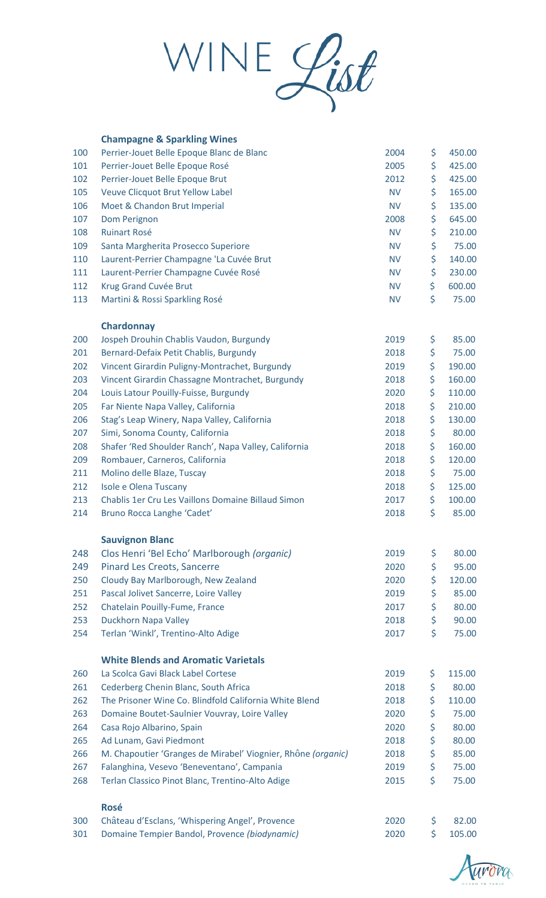WINE List

|     | <b>Champagne &amp; Sparkling Wines</b>                       |           |              |
|-----|--------------------------------------------------------------|-----------|--------------|
| 100 | Perrier-Jouet Belle Epoque Blanc de Blanc                    | 2004      | \$<br>450.00 |
| 101 | Perrier-Jouet Belle Epoque Rosé                              | 2005      | \$<br>425.00 |
| 102 | Perrier-Jouet Belle Epoque Brut                              | 2012      | \$<br>425.00 |
| 105 | Veuve Clicquot Brut Yellow Label                             | <b>NV</b> | \$<br>165.00 |
| 106 | Moet & Chandon Brut Imperial                                 | <b>NV</b> | \$<br>135.00 |
| 107 | Dom Perignon                                                 | 2008      | \$<br>645.00 |
| 108 | <b>Ruinart Rosé</b>                                          | <b>NV</b> | \$<br>210.00 |
| 109 | Santa Margherita Prosecco Superiore                          | <b>NV</b> | \$<br>75.00  |
| 110 | Laurent-Perrier Champagne 'La Cuvée Brut                     | <b>NV</b> | \$<br>140.00 |
| 111 | Laurent-Perrier Champagne Cuvée Rosé                         | <b>NV</b> | \$<br>230.00 |
| 112 | Krug Grand Cuvée Brut                                        | <b>NV</b> | \$<br>600.00 |
| 113 | Martini & Rossi Sparkling Rosé                               | <b>NV</b> | \$<br>75.00  |
|     | <b>Chardonnay</b>                                            |           |              |
| 200 | Jospeh Drouhin Chablis Vaudon, Burgundy                      | 2019      | \$<br>85.00  |
| 201 | Bernard-Defaix Petit Chablis, Burgundy                       | 2018      | \$<br>75.00  |
| 202 | Vincent Girardin Puligny-Montrachet, Burgundy                | 2019      | \$<br>190.00 |
| 203 | Vincent Girardin Chassagne Montrachet, Burgundy              | 2018      | \$<br>160.00 |
| 204 | Louis Latour Pouilly-Fuisse, Burgundy                        | 2020      | \$<br>110.00 |
| 205 | Far Niente Napa Valley, California                           | 2018      | \$<br>210.00 |
| 206 | Stag's Leap Winery, Napa Valley, California                  | 2018      | \$<br>130.00 |
| 207 | Simi, Sonoma County, California                              | 2018      | \$<br>80.00  |
| 208 | Shafer 'Red Shoulder Ranch', Napa Valley, California         | 2018      | \$<br>160.00 |
| 209 | Rombauer, Carneros, California                               | 2018      | \$<br>120.00 |
| 211 | Molino delle Blaze, Tuscay                                   | 2018      | \$<br>75.00  |
| 212 | Isole e Olena Tuscany                                        | 2018      | \$<br>125.00 |
| 213 | Chablis 1er Cru Les Vaillons Domaine Billaud Simon           | 2017      | \$<br>100.00 |
| 214 | Bruno Rocca Langhe 'Cadet'                                   | 2018      | \$<br>85.00  |
|     | <b>Sauvignon Blanc</b>                                       |           |              |
| 248 | Clos Henri 'Bel Echo' Marlborough (organic)                  | 2019      | \$<br>80.00  |
| 249 | <b>Pinard Les Creots, Sancerre</b>                           | 2020      | \$<br>95.00  |
| 250 | Cloudy Bay Marlborough, New Zealand                          | 2020      | \$<br>120.00 |
| 251 | Pascal Jolivet Sancerre, Loire Valley                        | 2019      | \$<br>85.00  |
| 252 | Chatelain Pouilly-Fume, France                               | 2017      | \$<br>80.00  |
| 253 | Duckhorn Napa Valley                                         | 2018      | \$<br>90.00  |
| 254 | Terlan 'Winkl', Trentino-Alto Adige                          | 2017      | \$<br>75.00  |
|     | <b>White Blends and Aromatic Varietals</b>                   |           |              |
| 260 | La Scolca Gavi Black Label Cortese                           | 2019      | \$<br>115.00 |
| 261 | Cederberg Chenin Blanc, South Africa                         | 2018      | \$<br>80.00  |
| 262 | The Prisoner Wine Co. Blindfold California White Blend       | 2018      | \$<br>110.00 |
| 263 | Domaine Boutet-Saulnier Vouvray, Loire Valley                | 2020      | \$<br>75.00  |
| 264 | Casa Rojo Albarino, Spain                                    | 2020      | \$<br>80.00  |
| 265 | Ad Lunam, Gavi Piedmont                                      | 2018      | \$<br>80.00  |
| 266 | M. Chapoutier 'Granges de Mirabel' Viognier, Rhône (organic) | 2018      | \$<br>85.00  |
| 267 | Falanghina, Vesevo 'Beneventano', Campania                   | 2019      | \$<br>75.00  |
| 268 | Terlan Classico Pinot Blanc, Trentino-Alto Adige             | 2015      | \$<br>75.00  |
|     | <b>Rosé</b>                                                  |           |              |
| 300 | Château d'Esclans, 'Whispering Angel', Provence              | 2020      | \$<br>82.00  |
| 301 | Domaine Tempier Bandol, Provence (biodynamic)                | 2020      | \$<br>105.00 |

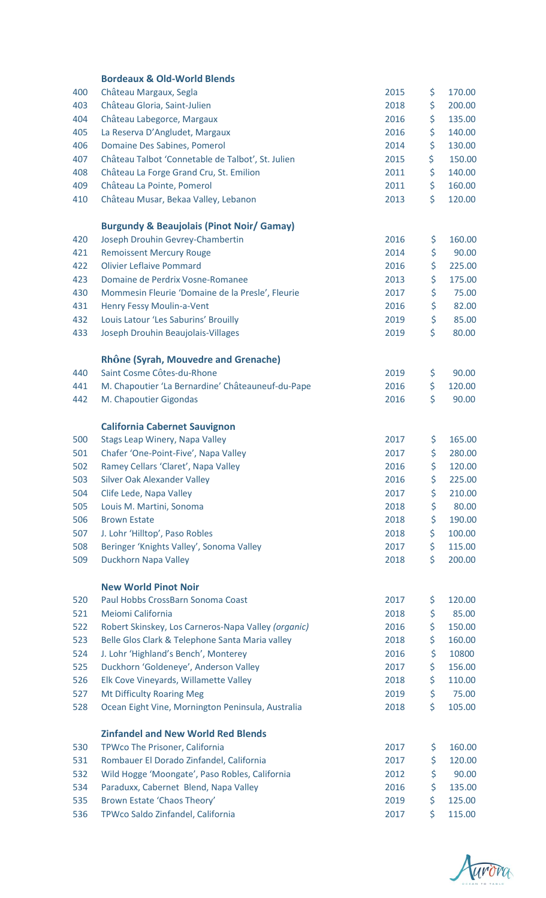|     | <b>Bordeaux &amp; Old-World Blends</b>               |      |     |        |
|-----|------------------------------------------------------|------|-----|--------|
| 400 | Château Margaux, Segla                               | 2015 | \$  | 170.00 |
| 403 | Château Gloria, Saint-Julien                         | 2018 | \$  | 200.00 |
| 404 | Château Labegorce, Margaux                           | 2016 | \$  | 135.00 |
| 405 | La Reserva D'Angludet, Margaux                       | 2016 | \$  | 140.00 |
| 406 | Domaine Des Sabines, Pomerol                         | 2014 | \$  | 130.00 |
| 407 | Château Talbot 'Connetable de Talbot', St. Julien    | 2015 | \$  | 150.00 |
| 408 | Château La Forge Grand Cru, St. Emilion              | 2011 | \$  | 140.00 |
| 409 | Château La Pointe, Pomerol                           | 2011 | \$  | 160.00 |
| 410 | Château Musar, Bekaa Valley, Lebanon                 | 2013 | \$  | 120.00 |
|     |                                                      |      |     |        |
|     | <b>Burgundy &amp; Beaujolais (Pinot Noir/ Gamay)</b> |      |     |        |
| 420 | Joseph Drouhin Gevrey-Chambertin                     | 2016 | \$  | 160.00 |
| 421 | <b>Remoissent Mercury Rouge</b>                      | 2014 | \$  | 90.00  |
| 422 | <b>Olivier Leflaive Pommard</b>                      | 2016 | \$  | 225.00 |
| 423 | Domaine de Perdrix Vosne-Romanee                     | 2013 | \$  | 175.00 |
| 430 | Mommesin Fleurie 'Domaine de la Presle', Fleurie     | 2017 | \$  | 75.00  |
| 431 | Henry Fessy Moulin-a-Vent                            | 2016 | \$  | 82.00  |
| 432 | Louis Latour 'Les Saburins' Brouilly                 | 2019 | \$  | 85.00  |
| 433 | Joseph Drouhin Beaujolais-Villages                   | 2019 | \$  | 80.00  |
|     | Rhône (Syrah, Mouvedre and Grenache)                 |      |     |        |
| 440 | Saint Cosme Côtes-du-Rhone                           | 2019 | \$  | 90.00  |
| 441 | M. Chapoutier 'La Bernardine' Châteauneuf-du-Pape    | 2016 | \$  | 120.00 |
| 442 | M. Chapoutier Gigondas                               | 2016 | \$  | 90.00  |
|     | <b>California Cabernet Sauvignon</b>                 |      |     |        |
| 500 | Stags Leap Winery, Napa Valley                       | 2017 | \$. | 165.00 |
| 501 | Chafer 'One-Point-Five', Napa Valley                 | 2017 | \$  | 280.00 |
| 502 | Ramey Cellars 'Claret', Napa Valley                  | 2016 | \$  | 120.00 |
| 503 | Silver Oak Alexander Valley                          | 2016 | \$  | 225.00 |
| 504 | Clife Lede, Napa Valley                              | 2017 | \$  | 210.00 |
| 505 | Louis M. Martini, Sonoma                             | 2018 | \$  | 80.00  |
| 506 | <b>Brown Estate</b>                                  | 2018 | \$  | 190.00 |
| 507 | J. Lohr 'Hilltop', Paso Robles                       | 2018 | \$  | 100.00 |
| 508 | Beringer 'Knights Valley', Sonoma Valley             | 2017 | \$  | 115.00 |
|     |                                                      |      | \$  | 200.00 |
| 509 | Duckhorn Napa Valley                                 | 2018 |     |        |
|     | <b>New World Pinot Noir</b>                          |      |     |        |
| 520 | Paul Hobbs CrossBarn Sonoma Coast                    | 2017 | \$  | 120.00 |
| 521 | Meiomi California                                    | 2018 | \$  | 85.00  |
| 522 | Robert Skinskey, Los Carneros-Napa Valley (organic)  | 2016 | \$  | 150.00 |
| 523 | Belle Glos Clark & Telephone Santa Maria valley      | 2018 | \$  | 160.00 |
| 524 | J. Lohr 'Highland's Bench', Monterey                 | 2016 | \$  | 10800  |
| 525 | Duckhorn 'Goldeneye', Anderson Valley                | 2017 | \$  | 156.00 |
| 526 | Elk Cove Vineyards, Willamette Valley                | 2018 | \$  | 110.00 |
| 527 | <b>Mt Difficulty Roaring Meg</b>                     | 2019 | \$  | 75.00  |
| 528 | Ocean Eight Vine, Mornington Peninsula, Australia    | 2018 | \$  | 105.00 |
|     | <b>Zinfandel and New World Red Blends</b>            |      |     |        |
| 530 | TPWco The Prisoner, California                       | 2017 | \$  | 160.00 |
| 531 | Rombauer El Dorado Zinfandel, California             | 2017 | \$  | 120.00 |
| 532 | Wild Hogge 'Moongate', Paso Robles, California       | 2012 | \$  | 90.00  |
| 534 | Paraduxx, Cabernet Blend, Napa Valley                | 2016 | \$  | 135.00 |
| 535 | Brown Estate 'Chaos Theory'                          | 2019 | \$  | 125.00 |
| 536 | TPWco Saldo Zinfandel, California                    | 2017 | \$  | 115.00 |
|     |                                                      |      |     |        |

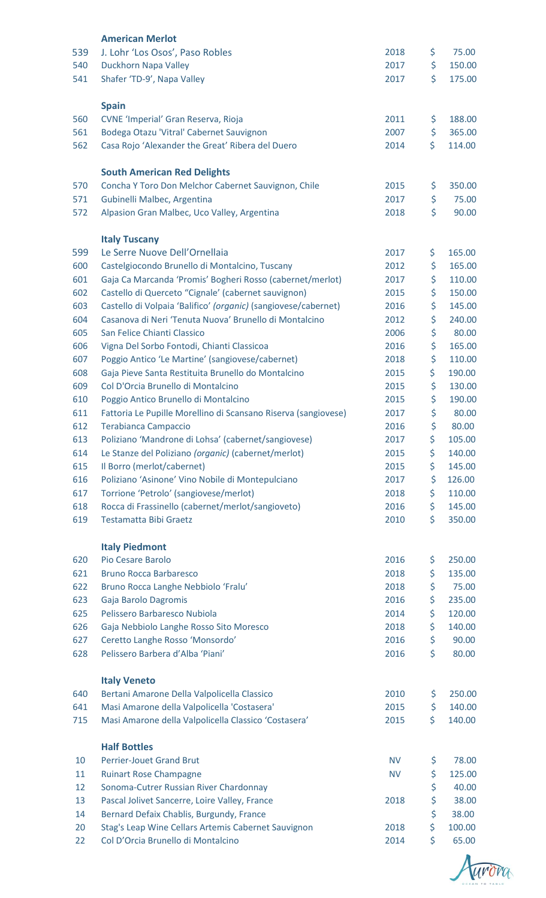|     | <b>American Merlot</b>                                                                    |           |              |
|-----|-------------------------------------------------------------------------------------------|-----------|--------------|
| 539 | J. Lohr 'Los Osos', Paso Robles                                                           | 2018      | \$<br>75.00  |
| 540 | Duckhorn Napa Valley                                                                      | 2017      | \$<br>150.00 |
| 541 | Shafer 'TD-9', Napa Valley                                                                | 2017      | \$<br>175.00 |
|     |                                                                                           |           |              |
|     | <b>Spain</b>                                                                              |           |              |
| 560 | CVNE 'Imperial' Gran Reserva, Rioja                                                       | 2011      | \$<br>188.00 |
| 561 | Bodega Otazu 'Vitral' Cabernet Sauvignon                                                  | 2007      | \$<br>365.00 |
| 562 | Casa Rojo 'Alexander the Great' Ribera del Duero                                          | 2014      | \$<br>114.00 |
|     |                                                                                           |           |              |
| 570 | <b>South American Red Delights</b><br>Concha Y Toro Don Melchor Cabernet Sauvignon, Chile | 2015      | \$<br>350.00 |
| 571 | Gubinelli Malbec, Argentina                                                               | 2017      | \$<br>75.00  |
| 572 | Alpasion Gran Malbec, Uco Valley, Argentina                                               | 2018      | \$<br>90.00  |
|     |                                                                                           |           |              |
|     | <b>Italy Tuscany</b>                                                                      |           |              |
| 599 | Le Serre Nuove Dell'Ornellaia                                                             | 2017      | \$<br>165.00 |
| 600 | Castelgiocondo Brunello di Montalcino, Tuscany                                            | 2012      | \$<br>165.00 |
| 601 | Gaja Ca Marcanda 'Promis' Bogheri Rosso (cabernet/merlot)                                 | 2017      | \$<br>110.00 |
| 602 | Castello di Querceto "Cignale' (cabernet sauvignon)                                       | 2015      | \$<br>150.00 |
| 603 | Castello di Volpaia 'Balifico' (organic) (sangiovese/cabernet)                            | 2016      | \$<br>145.00 |
| 604 | Casanova di Neri 'Tenuta Nuova' Brunello di Montalcino                                    | 2012      | \$<br>240.00 |
| 605 | San Felice Chianti Classico                                                               | 2006      | \$<br>80.00  |
| 606 | Vigna Del Sorbo Fontodi, Chianti Classicoa                                                | 2016      | \$<br>165.00 |
| 607 | Poggio Antico 'Le Martine' (sangiovese/cabernet)                                          | 2018      | \$<br>110.00 |
| 608 | Gaja Pieve Santa Restituita Brunello do Montalcino                                        | 2015      | \$<br>190.00 |
| 609 | Col D'Orcia Brunello di Montalcino                                                        | 2015      | \$<br>130.00 |
| 610 | Poggio Antico Brunello di Montalcino                                                      | 2015      | \$<br>190.00 |
| 611 | Fattoria Le Pupille Morellino di Scansano Riserva (sangiovese)                            | 2017      | \$<br>80.00  |
| 612 | <b>Terabianca Campaccio</b>                                                               | 2016      | \$<br>80.00  |
| 613 | Poliziano 'Mandrone di Lohsa' (cabernet/sangiovese)                                       | 2017      | \$<br>105.00 |
| 614 | Le Stanze del Poliziano (organic) (cabernet/merlot)                                       | 2015      | \$<br>140.00 |
| 615 | Il Borro (merlot/cabernet)                                                                | 2015      | \$<br>145.00 |
| 616 | Poliziano 'Asinone' Vino Nobile di Montepulciano                                          | 2017      | \$<br>126.00 |
| 617 | Torrione 'Petrolo' (sangiovese/merlot)                                                    | 2018      | \$<br>110.00 |
| 618 | Rocca di Frassinello (cabernet/merlot/sangioveto)                                         | 2016      | \$<br>145.00 |
| 619 | <b>Testamatta Bibi Graetz</b>                                                             | 2010      | \$<br>350.00 |
|     |                                                                                           |           |              |
|     | <b>Italy Piedmont</b>                                                                     |           |              |
| 620 | Pio Cesare Barolo                                                                         | 2016      | \$<br>250.00 |
| 621 | <b>Bruno Rocca Barbaresco</b>                                                             | 2018      | \$<br>135.00 |
| 622 | Bruno Rocca Langhe Nebbiolo 'Fralu'                                                       | 2018      | \$<br>75.00  |
| 623 | Gaja Barolo Dagromis                                                                      | 2016      | \$<br>235.00 |
| 625 | Pelissero Barbaresco Nubiola                                                              | 2014      | \$<br>120.00 |
| 626 | Gaja Nebbiolo Langhe Rosso Sito Moresco                                                   | 2018      | \$<br>140.00 |
| 627 | Ceretto Langhe Rosso 'Monsordo'                                                           | 2016      | \$<br>90.00  |
| 628 | Pelissero Barbera d'Alba 'Piani'                                                          | 2016      | \$<br>80.00  |
|     | <b>Italy Veneto</b>                                                                       |           |              |
| 640 | Bertani Amarone Della Valpolicella Classico                                               | 2010      | \$<br>250.00 |
| 641 | Masi Amarone della Valpolicella 'Costasera'                                               | 2015      | \$<br>140.00 |
| 715 | Masi Amarone della Valpolicella Classico 'Costasera'                                      | 2015      | \$<br>140.00 |
|     |                                                                                           |           |              |
|     | <b>Half Bottles</b>                                                                       |           |              |
| 10  | <b>Perrier-Jouet Grand Brut</b>                                                           | <b>NV</b> | \$<br>78.00  |
| 11  | <b>Ruinart Rose Champagne</b>                                                             | <b>NV</b> | \$<br>125.00 |
| 12  | Sonoma-Cutrer Russian River Chardonnay                                                    |           | \$<br>40.00  |
| 13  | Pascal Jolivet Sancerre, Loire Valley, France                                             | 2018      | \$<br>38.00  |
| 14  | Bernard Defaix Chablis, Burgundy, France                                                  |           | \$<br>38.00  |
| 20  | Stag's Leap Wine Cellars Artemis Cabernet Sauvignon<br>Col D'Orcia Brunello di Montalcino | 2018      | \$<br>100.00 |
| 22  |                                                                                           | 2014      | \$<br>65.00  |

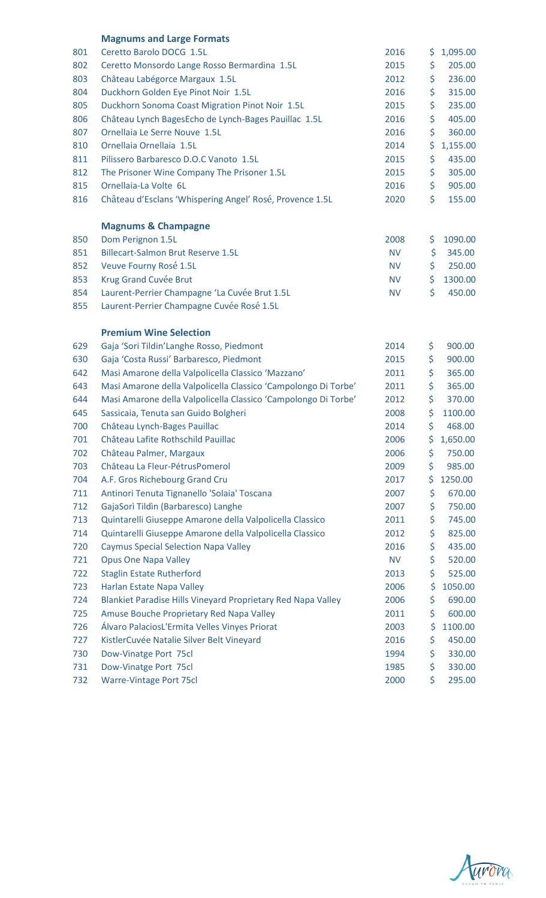|     | <b>Magnums and Large Formats</b>                               |           |     |          |
|-----|----------------------------------------------------------------|-----------|-----|----------|
| 801 | Ceretto Barolo DOCG 1.5L                                       | 2016      | \$. | 1,095.00 |
| 802 | Ceretto Monsordo Lange Rosso Bermardina 1.5L                   | 2015      | \$  | 205.00   |
| 803 | Château Labégorce Margaux 1.5L                                 | 2012      | \$  | 236.00   |
| 804 | Duckhorn Golden Eye Pinot Noir 1.5L                            | 2016      | \$  | 315.00   |
| 805 | Duckhorn Sonoma Coast Migration Pinot Noir 1.5L                | 2015      | \$  | 235.00   |
| 806 | Château Lynch BagesEcho de Lynch-Bages Pauillac 1.5L           | 2016      | \$  | 405.00   |
| 807 | Ornellaia Le Serre Nouve 1.5L                                  | 2016      | \$  | 360.00   |
| 810 | Ornellaia Ornellaia 1.5L                                       | 2014      | \$  | 1,155.00 |
| 811 | Pilissero Barbaresco D.O.C Vanoto 1.5L                         | 2015      | \$  | 435.00   |
| 812 | The Prisoner Wine Company The Prisoner 1.5L                    | 2015      | \$  | 305.00   |
| 815 | Ornellaia-La Volte 6L                                          | 2016      | \$  | 905.00   |
| 816 | Château d'Esclans 'Whispering Angel' Rosé, Provence 1.5L       | 2020      | \$  | 155.00   |
|     | <b>Magnums &amp; Champagne</b>                                 |           |     |          |
| 850 | Dom Perignon 1.5L                                              | 2008      | \$  | 1090.00  |
| 851 | <b>Billecart-Salmon Brut Reserve 1.5L</b>                      | <b>NV</b> | \$  | 345.00   |
| 852 | Veuve Fourny Rosé 1.5L                                         | <b>NV</b> | \$  | 250.00   |
| 853 | Krug Grand Cuvée Brut                                          | <b>NV</b> | \$  | 1300.00  |
| 854 | Laurent-Perrier Champagne 'La Cuvée Brut 1.5L                  | <b>NV</b> | \$  | 450.00   |
| 855 | Laurent-Perrier Champagne Cuvée Rosé 1.5L                      |           |     |          |
|     | <b>Premium Wine Selection</b>                                  |           |     |          |
| 629 | Gaja 'Sori Tildin'Langhe Rosso, Piedmont                       | 2014      | \$  | 900.00   |
| 630 | Gaja 'Costa Russi' Barbaresco, Piedmont                        | 2015      | \$  | 900.00   |
| 642 | Masi Amarone della Valpolicella Classico 'Mazzano'             | 2011      | \$  | 365.00   |
| 643 | Masi Amarone della Valpolicella Classico 'Campolongo Di Torbe' | 2011      | \$  | 365.00   |
| 644 | Masi Amarone della Valpolicella Classico 'Campolongo Di Torbe' | 2012      | \$  | 370.00   |
| 645 | Sassicaia, Tenuta san Guido Bolgheri                           | 2008      | \$  | 1100.00  |
| 700 | Château Lynch-Bages Pauillac                                   | 2014      | \$  | 468.00   |
| 701 | Château Lafite Rothschild Pauillac                             | 2006      | \$  | 1,650.00 |
| 702 | Château Palmer, Margaux                                        | 2006      | \$  | 750.00   |
| 703 | Château La Fleur-PétrusPomerol                                 | 2009      | \$  | 985.00   |
| 704 | A.F. Gros Richebourg Grand Cru                                 | 2017      | \$  | 1250.00  |
| 711 | Antinori Tenuta Tignanello 'Solaia' Toscana                    | 2007      | \$  | 670.00   |
| 712 | GajaSorì Tildìn (Barbaresco) Langhe                            | 2007      | \$  | 750.00   |
| 713 | Quintarelli Giuseppe Amarone della Valpolicella Classico       | 2011      | \$  | 745.00   |
| 714 | Quintarelli Giuseppe Amarone della Valpolicella Classico       | 2012      | \$  | 825.00   |
| 720 | <b>Caymus Special Selection Napa Valley</b>                    | 2016      | \$  | 435.00   |
| 721 | <b>Opus One Napa Valley</b>                                    | <b>NV</b> | \$  | 520.00   |
| 722 | <b>Staglin Estate Rutherford</b>                               | 2013      | \$  | 525.00   |
| 723 | Harlan Estate Napa Valley                                      | 2006      | \$  | 1050.00  |
| 724 | Blankiet Paradise Hills Vineyard Proprietary Red Napa Valley   | 2006      | \$  | 690.00   |
| 725 | Amuse Bouche Proprietary Red Napa Valley                       | 2011      | \$  | 600.00   |
| 726 | Álvaro PalaciosL'Ermita Velles Vinyes Priorat                  | 2003      | \$  | 1100.00  |
| 727 | KistlerCuvée Natalie Silver Belt Vineyard                      | 2016      | \$  | 450.00   |
| 730 | Dow-Vinatge Port 75cl                                          | 1994      | \$  | 330.00   |
| 731 | Dow-Vinatge Port 75cl                                          | 1985      | \$  | 330.00   |
| 732 | Warre-Vintage Port 75cl                                        | 2000      | \$  | 295.00   |